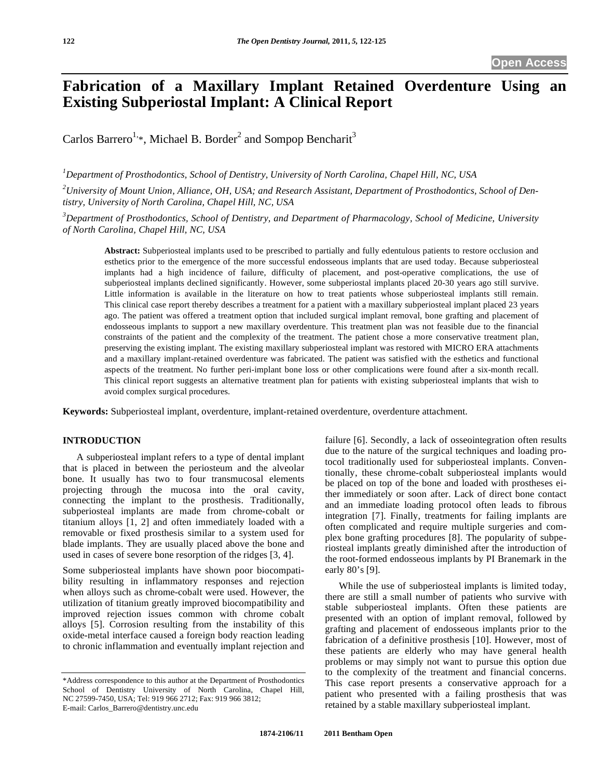# **Fabrication of a Maxillary Implant Retained Overdenture Using an Existing Subperiostal Implant: A Clinical Report**

Carlos Barrero<sup>1,\*</sup>, Michael B. Border<sup>2</sup> and Sompop Bencharit<sup>3</sup>

*1 Department of Prosthodontics, School of Dentistry, University of North Carolina, Chapel Hill, NC, USA* 

*2 University of Mount Union, Alliance, OH, USA; and Research Assistant, Department of Prosthodontics, School of Dentistry, University of North Carolina, Chapel Hill, NC, USA* 

*3 Department of Prosthodontics, School of Dentistry, and Department of Pharmacology, School of Medicine, University of North Carolina, Chapel Hill, NC, USA* 

**Abstract:** Subperiosteal implants used to be prescribed to partially and fully edentulous patients to restore occlusion and esthetics prior to the emergence of the more successful endosseous implants that are used today. Because subperiosteal implants had a high incidence of failure, difficulty of placement, and post-operative complications, the use of subperiosteal implants declined significantly. However, some subperiostal implants placed 20-30 years ago still survive. Little information is available in the literature on how to treat patients whose subperiosteal implants still remain. This clinical case report thereby describes a treatment for a patient with a maxillary subperiosteal implant placed 23 years ago. The patient was offered a treatment option that included surgical implant removal, bone grafting and placement of endosseous implants to support a new maxillary overdenture. This treatment plan was not feasible due to the financial constraints of the patient and the complexity of the treatment. The patient chose a more conservative treatment plan, preserving the existing implant. The existing maxillary subperiosteal implant was restored with MICRO ERA attachments and a maxillary implant-retained overdenture was fabricated. The patient was satisfied with the esthetics and functional aspects of the treatment. No further peri-implant bone loss or other complications were found after a six-month recall. This clinical report suggests an alternative treatment plan for patients with existing subperiosteal implants that wish to avoid complex surgical procedures.

**Keywords:** Subperiosteal implant, overdenture, implant-retained overdenture, overdenture attachment.

#### **INTRODUCTION**

A subperiosteal implant refers to a type of dental implant that is placed in between the periosteum and the alveolar bone. It usually has two to four transmucosal elements projecting through the mucosa into the oral cavity, connecting the implant to the prosthesis. Traditionally, subperiosteal implants are made from chrome-cobalt or titanium alloys [1, 2] and often immediately loaded with a removable or fixed prosthesis similar to a system used for blade implants. They are usually placed above the bone and used in cases of severe bone resorption of the ridges [3, 4].

Some subperiosteal implants have shown poor biocompatibility resulting in inflammatory responses and rejection when alloys such as chrome-cobalt were used. However, the utilization of titanium greatly improved biocompatibility and improved rejection issues common with chrome cobalt alloys [5]. Corrosion resulting from the instability of this oxide-metal interface caused a foreign body reaction leading to chronic inflammation and eventually implant rejection and

failure [6]. Secondly, a lack of osseointegration often results due to the nature of the surgical techniques and loading protocol traditionally used for subperiosteal implants. Conventionally, these chrome-cobalt subperiosteal implants would be placed on top of the bone and loaded with prostheses either immediately or soon after. Lack of direct bone contact and an immediate loading protocol often leads to fibrous integration [7]. Finally, treatments for failing implants are often complicated and require multiple surgeries and complex bone grafting procedures [8]. The popularity of subperiosteal implants greatly diminished after the introduction of the root-formed endosseous implants by PI Branemark in the early 80's [9].

While the use of subperiosteal implants is limited today, there are still a small number of patients who survive with stable subperiosteal implants. Often these patients are presented with an option of implant removal, followed by grafting and placement of endosseous implants prior to the fabrication of a definitive prosthesis [10]. However, most of these patients are elderly who may have general health problems or may simply not want to pursue this option due to the complexity of the treatment and financial concerns. This case report presents a conservative approach for a patient who presented with a failing prosthesis that was retained by a stable maxillary subperiosteal implant.

<sup>\*</sup>Address correspondence to this author at the Department of Prosthodontics School of Dentistry University of North Carolina, Chapel Hill, NC 27599-7450, USA; Tel: 919 966 2712; Fax: 919 966 3812; E-mail: Carlos\_Barrero@dentistry.unc.edu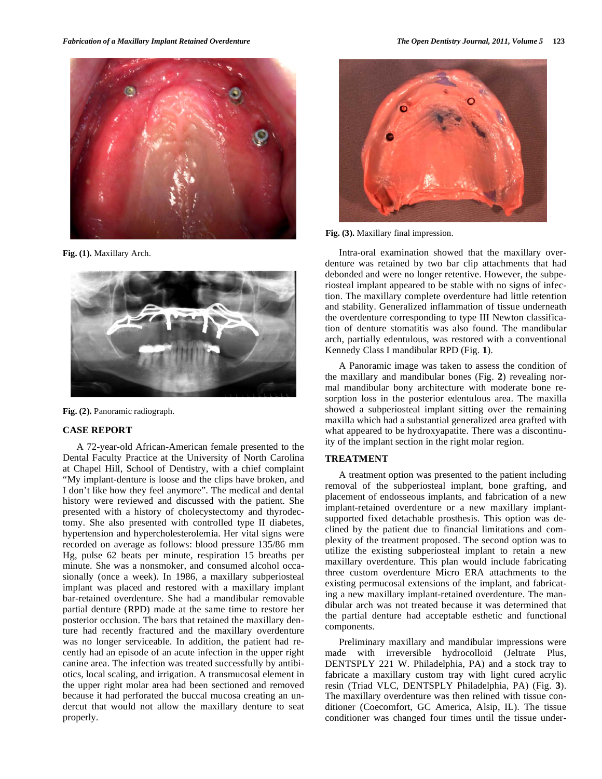

**Fig. (1).** Maxillary Arch.



**Fig. (2).** Panoramic radiograph.

#### **CASE REPORT**

A 72-year-old African-American female presented to the Dental Faculty Practice at the University of North Carolina at Chapel Hill, School of Dentistry, with a chief complaint "My implant-denture is loose and the clips have broken, and I don't like how they feel anymore". The medical and dental history were reviewed and discussed with the patient. She presented with a history of cholecystectomy and thyrodectomy. She also presented with controlled type II diabetes, hypertension and hypercholesterolemia. Her vital signs were recorded on average as follows: blood pressure 135/86 mm Hg, pulse 62 beats per minute, respiration 15 breaths per minute. She was a nonsmoker, and consumed alcohol occasionally (once a week). In 1986, a maxillary subperiosteal implant was placed and restored with a maxillary implant bar-retained overdenture. She had a mandibular removable partial denture (RPD) made at the same time to restore her posterior occlusion. The bars that retained the maxillary denture had recently fractured and the maxillary overdenture was no longer serviceable. In addition, the patient had recently had an episode of an acute infection in the upper right canine area. The infection was treated successfully by antibiotics, local scaling, and irrigation. A transmucosal element in the upper right molar area had been sectioned and removed because it had perforated the buccal mucosa creating an undercut that would not allow the maxillary denture to seat properly.



**Fig. (3).** Maxillary final impression.

Intra-oral examination showed that the maxillary overdenture was retained by two bar clip attachments that had debonded and were no longer retentive. However, the subperiosteal implant appeared to be stable with no signs of infection. The maxillary complete overdenture had little retention and stability. Generalized inflammation of tissue underneath the overdenture corresponding to type III Newton classification of denture stomatitis was also found. The mandibular arch, partially edentulous, was restored with a conventional Kennedy Class I mandibular RPD (Fig. **1**).

A Panoramic image was taken to assess the condition of the maxillary and mandibular bones (Fig. **2**) revealing normal mandibular bony architecture with moderate bone resorption loss in the posterior edentulous area. The maxilla showed a subperiosteal implant sitting over the remaining maxilla which had a substantial generalized area grafted with what appeared to be hydroxyapatite. There was a discontinuity of the implant section in the right molar region.

### **TREATMENT**

A treatment option was presented to the patient including removal of the subperiosteal implant, bone grafting, and placement of endosseous implants, and fabrication of a new implant-retained overdenture or a new maxillary implantsupported fixed detachable prosthesis. This option was declined by the patient due to financial limitations and complexity of the treatment proposed. The second option was to utilize the existing subperiosteal implant to retain a new maxillary overdenture. This plan would include fabricating three custom overdenture Micro ERA attachments to the existing permucosal extensions of the implant, and fabricating a new maxillary implant-retained overdenture. The mandibular arch was not treated because it was determined that the partial denture had acceptable esthetic and functional components.

Preliminary maxillary and mandibular impressions were made with irreversible hydrocolloid (Jeltrate Plus, DENTSPLY 221 W. Philadelphia, PA) and a stock tray to fabricate a maxillary custom tray with light cured acrylic resin (Triad VLC, DENTSPLY Philadelphia, PA) (Fig. **3**). The maxillary overdenture was then relined with tissue conditioner (Coecomfort, GC America, Alsip, IL). The tissue conditioner was changed four times until the tissue under-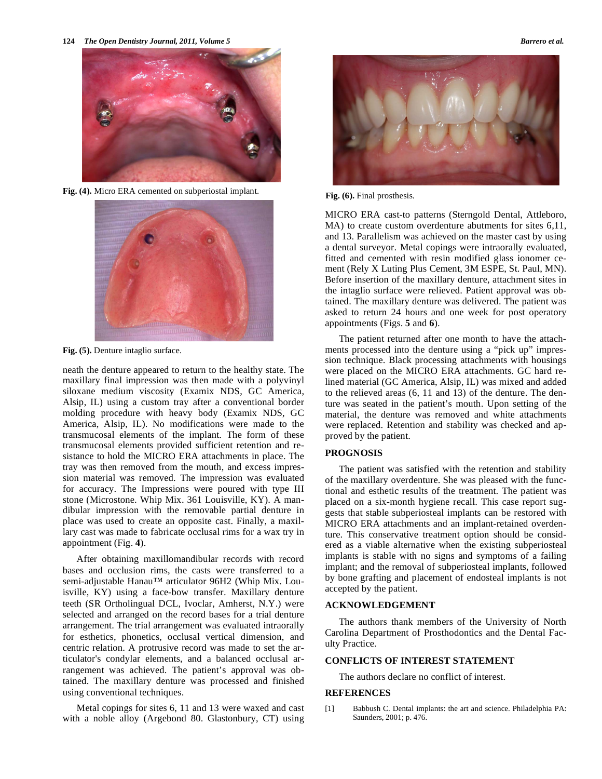**124** *The Open Dentistry Journal, 2011, Volume 5 Barrero et al.*



**Fig. (4).** Micro ERA cemented on subperiostal implant.



**Fig. (5).** Denture intaglio surface.

neath the denture appeared to return to the healthy state. The maxillary final impression was then made with a polyvinyl siloxane medium viscosity (Examix NDS, GC America, Alsip, IL) using a custom tray after a conventional border molding procedure with heavy body (Examix NDS, GC America, Alsip, IL). No modifications were made to the transmucosal elements of the implant. The form of these transmucosal elements provided sufficient retention and resistance to hold the MICRO ERA attachments in place. The tray was then removed from the mouth, and excess impression material was removed. The impression was evaluated for accuracy. The Impressions were poured with type III stone (Microstone. Whip Mix. 361 Louisville, KY). A mandibular impression with the removable partial denture in place was used to create an opposite cast. Finally, a maxillary cast was made to fabricate occlusal rims for a wax try in appointment (Fig. **4**).

After obtaining maxillomandibular records with record bases and occlusion rims, the casts were transferred to a semi-adjustable Hanau™ articulator 96H2 (Whip Mix. Louisville, KY) using a face-bow transfer. Maxillary denture teeth (SR Ortholingual DCL, Ivoclar, Amherst, N.Y.) were selected and arranged on the record bases for a trial denture arrangement. The trial arrangement was evaluated intraorally for esthetics, phonetics, occlusal vertical dimension, and centric relation. A protrusive record was made to set the articulator's condylar elements, and a balanced occlusal arrangement was achieved. The patient's approval was obtained. The maxillary denture was processed and finished using conventional techniques.

Metal copings for sites 6, 11 and 13 were waxed and cast with a noble alloy (Argebond 80. Glastonbury, CT) using



**Fig. (6).** Final prosthesis.

MICRO ERA cast-to patterns (Sterngold Dental, Attleboro, MA) to create custom overdenture abutments for sites 6,11, and 13. Parallelism was achieved on the master cast by using a dental surveyor. Metal copings were intraorally evaluated, fitted and cemented with resin modified glass ionomer cement (Rely X Luting Plus Cement, 3M ESPE, St. Paul, MN). Before insertion of the maxillary denture, attachment sites in the intaglio surface were relieved. Patient approval was obtained. The maxillary denture was delivered. The patient was asked to return 24 hours and one week for post operatory appointments (Figs. **5** and **6**).

The patient returned after one month to have the attachments processed into the denture using a "pick up" impression technique. Black processing attachments with housings were placed on the MICRO ERA attachments. GC hard relined material (GC America, Alsip, IL) was mixed and added to the relieved areas (6, 11 and 13) of the denture. The denture was seated in the patient's mouth. Upon setting of the material, the denture was removed and white attachments were replaced. Retention and stability was checked and approved by the patient.

#### **PROGNOSIS**

The patient was satisfied with the retention and stability of the maxillary overdenture. She was pleased with the functional and esthetic results of the treatment. The patient was placed on a six-month hygiene recall. This case report suggests that stable subperiosteal implants can be restored with MICRO ERA attachments and an implant-retained overdenture. This conservative treatment option should be considered as a viable alternative when the existing subperiosteal implants is stable with no signs and symptoms of a failing implant; and the removal of subperiosteal implants, followed by bone grafting and placement of endosteal implants is not accepted by the patient.

#### **ACKNOWLEDGEMENT**

The authors thank members of the University of North Carolina Department of Prosthodontics and the Dental Faculty Practice.

## **CONFLICTS OF INTEREST STATEMENT**

The authors declare no conflict of interest.

#### **REFERENCES**

[1] Babbush C. Dental implants: the art and science. Philadelphia PA: Saunders, 2001; p. 476.